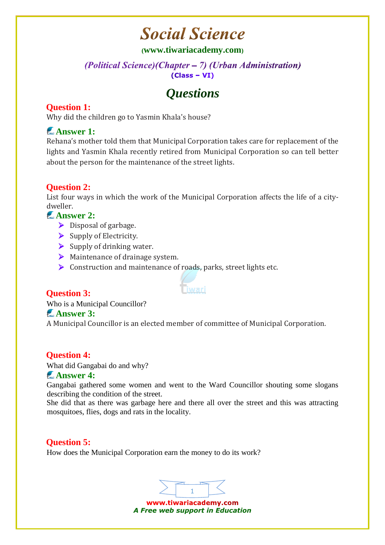# **Social Science**

#### **([www.tiwariacademy.com](http://www.tiwariacademy.com/))**

#### (Political Science) (Chapter - 7) (Urban Administration)  $(Class - VI)$

# *Questions*

### **Question 1:**

Why did the children go to Yasmin Khala's house?

## **Answer 1:**

Rehana's mother told them that Municipal Corporation takes care for replacement of the lights and Yasmin Khala recently retired from Municipal Corporation so can tell better about the person for the maintenance of the street lights.

### **Question 2:**

List four ways in which the work of the Municipal Corporation affects the life of a citydweller.

#### **Answer 2:**

- $\triangleright$  Disposal of garbage.
- $\triangleright$  Supply of Electricity.
- $\triangleright$  Supply of drinking water.
- $\triangleright$  Maintenance of drainage system.
- $\triangleright$  Construction and maintenance of roads, parks, street lights etc.

#### **Question 3:**

Who is a Municipal Councillor?

#### **Answer 3:**

A Municipal Councillor is an elected member of committee of Municipal Corporation.

.<br>Tiwari

#### **Question 4:**

What did Gangabai do and why?

#### **Answer 4:**

Gangabai gathered some women and went to the Ward Councillor shouting some slogans describing the condition of the street.

She did that as there was garbage here and there all over the street and this was attracting mosquitoes, flies, dogs and rats in the locality.

#### **Question 5:**

How does the Municipal Corporation earn the money to do its work?



www.tiwariacademy.com *A Free web support in Education*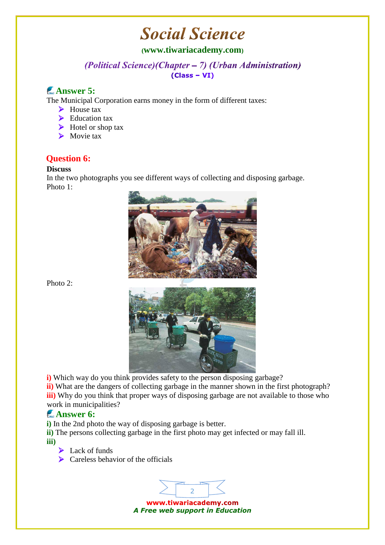# **Social Science**

#### **([www.tiwariacademy.com](http://www.tiwariacademy.com/))**

(Political Science) (Chapter - 7) (Urban Administration)  $(Class - VI)$ 

### **Answer 5:**

The Municipal Corporation earns money in the form of different taxes:

- $\blacktriangleright$  House tax
- $\blacktriangleright$  Education tax
- $\triangleright$  Hotel or shop tax
- Movie tax

#### **Question 6:**

#### **Discuss**

In the two photographs you see different ways of collecting and disposing garbage. Photo 1:



Photo 2:



**ii)** What are the dangers of collecting garbage in the manner shown in the first photograph? **iii**) Why do you think that proper ways of disposing garbage are not available to those who work in municipalities?

#### **Answer 6:**

**i)** In the 2nd photo the way of disposing garbage is better.

**ii)** The persons collecting garbage in the first photo may get infected or may fall ill. **iii)**

- Lack of funds
- $\triangleright$  Careless behavior of the officials

2 www.tiwariacademy.com *A Free web support in Education*